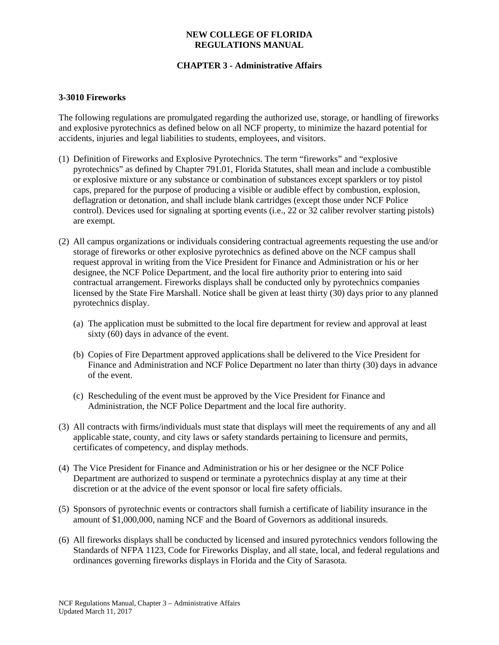## **NEW COLLEGE OF FLORIDA REGULATIONS MANUAL**

# **CHAPTER 3 - Administrative Affairs**

#### **3-3010 Fireworks**

The following regulations are promulgated regarding the authorized use, storage, or handling of fireworks and explosive pyrotechnics as defined below on all NCF property, to minimize the hazard potential for accidents, injuries and legal liabilities to students, employees, and visitors.

- (1) Definition of Fireworks and Explosive Pyrotechnics. The term "fireworks" and "explosive pyrotechnics" as defined by Chapter 791.01, Florida Statutes, shall mean and include a combustible or explosive mixture or any substance or combination of substances except sparklers or toy pistol caps, prepared for the purpose of producing a visible or audible effect by combustion, explosion, deflagration or detonation, and shall include blank cartridges (except those under NCF Police control). Devices used for signaling at sporting events (i.e., 22 or 32 caliber revolver starting pistols) are exempt.
- (2) All campus organizations or individuals considering contractual agreements requesting the use and/or storage of fireworks or other explosive pyrotechnics as defined above on the NCF campus shall request approval in writing from the Vice President for Finance and Administration or his or her designee, the NCF Police Department, and the local fire authority prior to entering into said contractual arrangement. Fireworks displays shall be conducted only by pyrotechnics companies licensed by the State Fire Marshall. Notice shall be given at least thirty (30) days prior to any planned pyrotechnics display.
	- (a) The application must be submitted to the local fire department for review and approval at least sixty (60) days in advance of the event.
	- (b) Copies of Fire Department approved applications shall be delivered to the Vice President for Finance and Administration and NCF Police Department no later than thirty (30) days in advance of the event.
	- (c) Rescheduling of the event must be approved by the Vice President for Finance and Administration, the NCF Police Department and the local fire authority.
- (3) All contracts with firms/individuals must state that displays will meet the requirements of any and all applicable state, county, and city laws or safety standards pertaining to licensure and permits, certificates of competency, and display methods.
- (4) The Vice President for Finance and Administration or his or her designee or the NCF Police Department are authorized to suspend or terminate a pyrotechnics display at any time at their discretion or at the advice of the event sponsor or local fire safety officials.
- (5) Sponsors of pyrotechnic events or contractors shall furnish a certificate of liability insurance in the amount of \$1,000,000, naming NCF and the Board of Governors as additional insureds.
- (6) All fireworks displays shall be conducted by licensed and insured pyrotechnics vendors following the Standards of NFPA 1123, Code for Fireworks Display, and all state, local, and federal regulations and ordinances governing fireworks displays in Florida and the City of Sarasota.